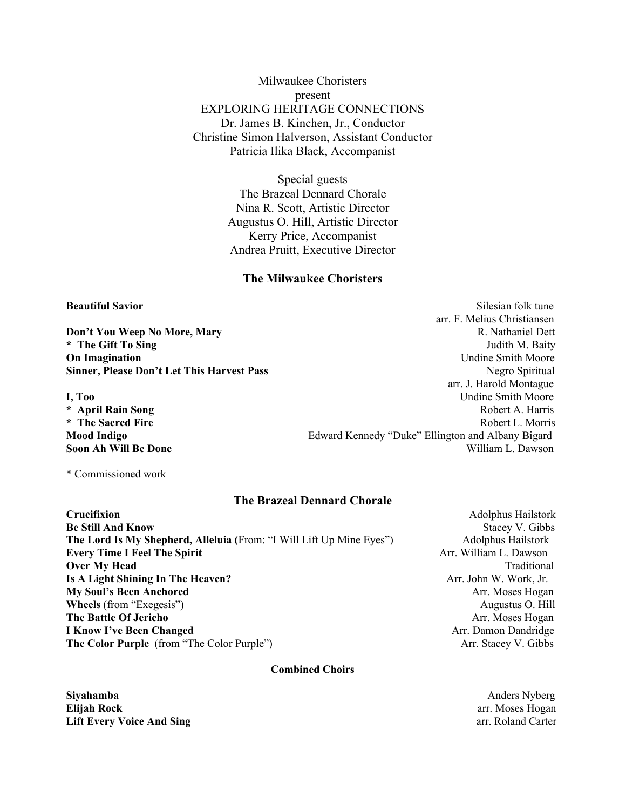Milwaukee Choristers present EXPLORING HERITAGE CONNECTIONS Dr. James B. Kinchen, Jr., Conductor Christine Simon Halverson, Assistant Conductor Patricia Ilika Black, Accompanist

> Special guests The Brazeal Dennard Chorale Nina R. Scott, Artistic Director Augustus O. Hill, Artistic Director Kerry Price, Accompanist Andrea Pruitt, Executive Director

# **The Milwaukee Choristers**

**Beautiful Savior Silesian folk tune**  arr. F. Melius Christiansen **Don't You Weep No More, Mary**   $R$ . Nathaniel Dett **\* The Gift To Sing** Judith M. Baity **On Imagination On Imagination On Imagination Constanting Constanting Constanting Constanting Constanting Constanting Constanting Constanting Constanting Constanting Constanting Constanting Constanting Constanting Co Sinner, Please Don't Let This Harvest Pass <br>
Negro Spiritual**  arr. J. Harold Montague **I, Too** Undine Smith Moore **\* April Rain Song** Robert A. Harris **Robert A. Harris Robert A. Harris Robert A. Harris \*** The Sacred Fire **Robert L. Morris Robert L. Morris Mood Indigo** Edward Kennedy "Duke" Ellington and Albany Bigard **Soon Ah Will Be Done** William L. Dawson

\* Commissioned work

# **The Brazeal Dennard Chorale**

**Crucifixion** Adolphus Hailstork **Crucifixion Be Still And Know** Stacey V. Gibbs **The Lord Is My Shepherd, Alleluia (**From: "I Will Lift Up Mine Eyes") Adolphus Hailstork **Every Time I Feel The Spirit Arr.** William L. Dawson **Over My Head** Traditional **Traditional Is A Light Shining In The Heaven?** Arr. John W. Work, Jr. **My Soul's Been Anchored Arr.** Moses Hogan **Wheels** (from "Exegesis") Augustus O. Hill **The Battle Of Jericho** Arr. Moses Hogan **I Know I've Been Changed Arr.** Damon Dandridge **Arr.** Damon Dandridge **The Color Purple** (from "The Color Purple") Arr. Stacey V. Gibbs

# **Combined Choirs**

**Siyahamba Anders Nyberg Anders Nyberg Anders Nyberg Anders Nyberg Elijah Rock** arr. Moses Hogan **Lift Every Voice And Sing**  and **Sing**  arr. Roland Carter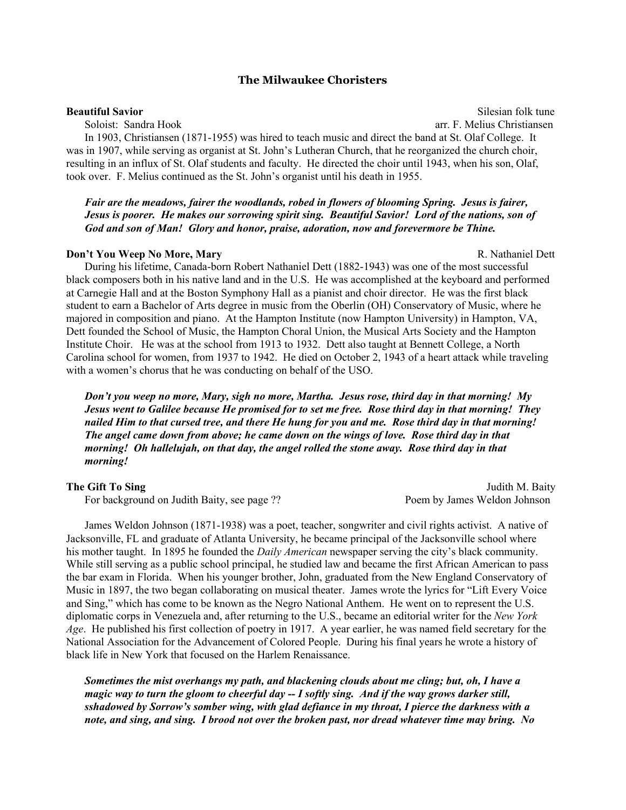# **The Milwaukee Choristers**

In 1903, Christiansen (1871-1955) was hired to teach music and direct the band at St. Olaf College. It was in 1907, while serving as organist at St. John's Lutheran Church, that he reorganized the church choir, resulting in an influx of St. Olaf students and faculty. He directed the choir until 1943, when his son, Olaf, took over. F. Melius continued as the St. John's organist until his death in 1955.

*Fair are the meadows, fairer the woodlands, robed in flowers of blooming Spring. Jesus is fairer, Jesus is poorer. He makes our sorrowing spirit sing. Beautiful Savior! Lord of the nations, son of God and son of Man! Glory and honor, praise, adoration, now and forevermore be Thine.*

### **Don't You Weep No More, Mary**  Max **Research 2008** R. Nathaniel Dett

During his lifetime, Canada-born Robert Nathaniel Dett (1882-1943) was one of the most successful black composers both in his native land and in the U.S. He was accomplished at the keyboard and performed at Carnegie Hall and at the Boston Symphony Hall as a pianist and choir director. He was the first black student to earn a Bachelor of Arts degree in music from the Oberlin (OH) Conservatory of Music, where he majored in composition and piano. At the Hampton Institute (now Hampton University) in Hampton, VA, Dett founded the School of Music, the Hampton Choral Union, the Musical Arts Society and the Hampton Institute Choir. He was at the school from 1913 to 1932. Dett also taught at Bennett College, a North Carolina school for women, from 1937 to 1942. He died on October 2, 1943 of a heart attack while traveling with a women's chorus that he was conducting on behalf of the USO.

*Don't you weep no more, Mary, sigh no more, Martha. Jesus rose, third day in that morning! My Jesus went to Galilee because He promised for to set me free. Rose third day in that morning! They nailed Him to that cursed tree, and there He hung for you and me. Rose third day in that morning! The angel came down from above; he came down on the wings of love. Rose third day in that morning! Oh hallelujah, on that day, the angel rolled the stone away. Rose third day in that morning!*

For background on Judith Baity, see page ?? Poem by James Weldon Johnson

James Weldon Johnson (1871-1938) was a poet, teacher, songwriter and civil rights activist. A native of Jacksonville, FL and graduate of Atlanta University, he became principal of the Jacksonville school where his mother taught. In 1895 he founded the *Daily American* newspaper serving the city's black community. While still serving as a public school principal, he studied law and became the first African American to pass the bar exam in Florida. When his younger brother, John, graduated from the New England Conservatory of Music in 1897, the two began collaborating on musical theater. James wrote the lyrics for "Lift Every Voice and Sing," which has come to be known as the Negro National Anthem. He went on to represent the U.S. diplomatic corps in Venezuela and, after returning to the U.S., became an editorial writer for the *New York Age*. He published his first collection of poetry in 1917. A year earlier, he was named field secretary for the National Association for the Advancement of Colored People. During his final years he wrote a history of black life in New York that focused on the Harlem Renaissance.

*Sometimes the mist overhangs my path, and blackening clouds about me cling; but, oh, I have a magic way to turn the gloom to cheerful day -- I softly sing. And if the way grows darker still, sshadowed by Sorrow's somber wing, with glad defiance in my throat, I pierce the darkness with a note, and sing, and sing. I brood not over the broken past, nor dread whatever time may bring. No*

**The Gift To Sing** Judith M. Baity

**Beautiful Savior Silesian folk tune** Soloist: Sandra Hook arr. F. Melius Christiansen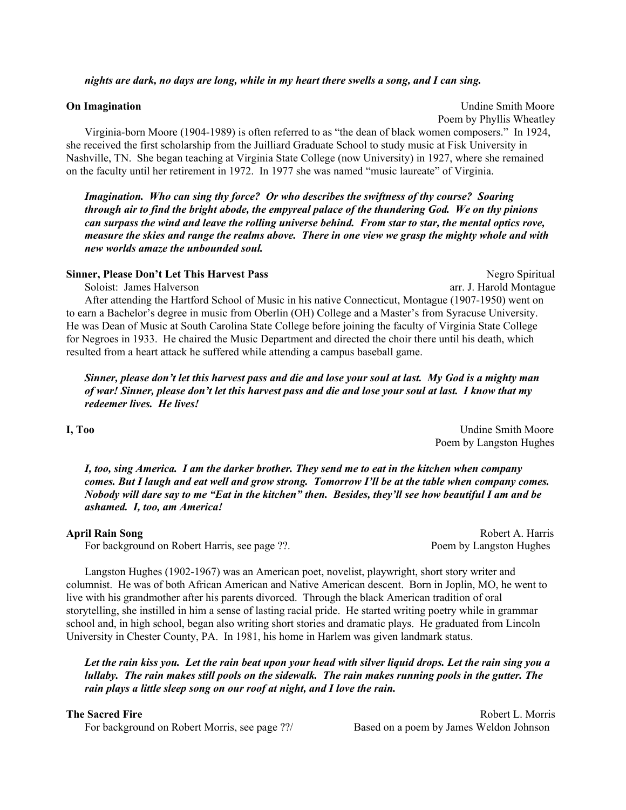### *nights are dark, no days are long, while in my heart there swells a song, and I can sing.*

**On Imagination On Imagination On Imagination Undine Smith Moore** Poem by Phyllis Wheatley

Virginia-born Moore (1904-1989) is often referred to as "the dean of black women composers." In 1924, she received the first scholarship from the Juilliard Graduate School to study music at Fisk University in Nashville, TN. She began teaching at Virginia State College (now University) in 1927, where she remained on the faculty until her retirement in 1972. In 1977 she was named "music laureate" of Virginia.

*Imagination. Who can sing thy force? Or who describes the swiftness of thy course? Soaring through air to find the bright abode, the empyreal palace of the thundering God. We on thy pinions can surpass the wind and leave the rolling universe behind. From star to star, the mental optics rove, measure the skies and range the realms above. There in one view we grasp the mighty whole and with new worlds amaze the unbounded soul.*

# **Sinner, Please Don't Let This Harvest Pass** Negro Spiritual

Soloist: James Halverson arr. J. Harold Montague After attending the Hartford School of Music in his native Connecticut, Montague (1907-1950) went on to earn a Bachelor's degree in music from Oberlin (OH) College and a Master's from Syracuse University. He was Dean of Music at South Carolina State College before joining the faculty of Virginia State College for Negroes in 1933. He chaired the Music Department and directed the choir there until his death, which resulted from a heart attack he suffered while attending a campus baseball game.

*Sinner, please don't let this harvest pass and die and lose your soul at last. My God is a mighty man of war! Sinner, please don't let this harvest pass and die and lose your soul at last. I know that my redeemer lives. He lives!*

**I, Too** Undine Smith Moore Poem by Langston Hughes

*I, too, sing America. I am the darker brother. They send me to eat in the kitchen when company comes. But I laugh and eat well and grow strong. Tomorrow I'll be at the table when company comes. Nobody will dare say to me "Eat in the kitchen" then. Besides, they'll see how beautiful I am and be ashamed. I, too, am America!*

For background on Robert Harris, see page ??. Poem by Langston Hughes

**April Rain Song 2008 Robert A. Harris Robert A. Harris Robert A. Harris** 

Langston Hughes (1902-1967) was an American poet, novelist, playwright, short story writer and columnist. He was of both African American and Native American descent. Born in Joplin, MO, he went to live with his grandmother after his parents divorced. Through the black American tradition of oral storytelling, she instilled in him a sense of lasting racial pride. He started writing poetry while in grammar school and, in high school, began also writing short stories and dramatic plays. He graduated from Lincoln University in Chester County, PA. In 1981, his home in Harlem was given landmark status.

*Let the rain kiss you. Let the rain beat upon your head with silver liquid drops. Let the rain sing you a lullaby. The rain makes still pools on the sidewalk. The rain makes running pools in the gutter. The rain plays a little sleep song on our roof at night, and I love the rain.*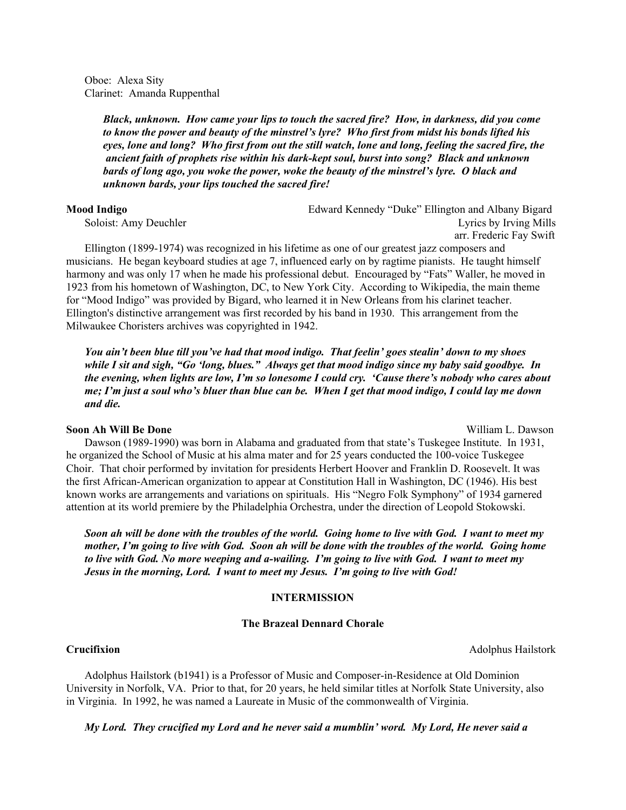Oboe: Alexa Sity Clarinet: Amanda Ruppenthal

> *Black, unknown. How came your lips to touch the sacred fire? How, in darkness, did you come to know the power and beauty of the minstrel's lyre? Who first from midst his bonds lifted his eyes, lone and long? Who first from out the still watch, lone and long, feeling the sacred fire, the ancient faith of prophets rise within his dark-kept soul, burst into song? Black and unknown bards of long ago, you woke the power, woke the beauty of the minstrel's lyre. O black and unknown bards, your lips touched the sacred fire!*

**Mood Indigo** Edward Kennedy "Duke" Ellington and Albany Bigard Soloist: Amy Deuchler **Lyrics** by Irving Mills arr. Frederic Fay Swift

Ellington (1899-1974) was recognized in his lifetime as one of our greatest jazz composers and musicians. He began keyboard studies at age 7, influenced early on by ragtime pianists. He taught himself harmony and was only 17 when he made his professional debut. Encouraged by "Fats" Waller, he moved in 1923 from his hometown of Washington, DC, to New York City. According to Wikipedia, the main theme for "Mood Indigo" was provided by Bigard, who learned it in New Orleans from his clarinet teacher. Ellington's distinctive arrangement was first recorded by his band in 1930. This arrangement from the Milwaukee Choristers archives was copyrighted in 1942.

*You ain't been blue till you've had that mood indigo. That feelin' goes stealin' down to my shoes while I sit and sigh, "Go 'long, blues." Always get that mood indigo since my baby said goodbye. In the evening, when lights are low, I'm so lonesome I could cry. 'Cause there's nobody who cares about me; I'm just a soul who's bluer than blue can be. When I get that mood indigo, I could lay me down and die.*

### **Soon Ah Will Be Done** William L. Dawson

Dawson (1989-1990) was born in Alabama and graduated from that state's Tuskegee Institute. In 1931, he organized the School of Music at his alma mater and for 25 years conducted the 100-voice Tuskegee Choir. That choir performed by invitation for presidents Herbert Hoover and Franklin D. Roosevelt. It was the first African-American organization to appear at Constitution Hall in Washington, DC (1946). His best known works are arrangements and variations on spirituals. His "Negro Folk Symphony" of 1934 garnered attention at its world premiere by the Philadelphia Orchestra, under the direction of Leopold Stokowski.

*Soon ah will be done with the troubles of the world. Going home to live with God. I want to meet my mother, I'm going to live with God. Soon ah will be done with the troubles of the world. Going home to live with God. No more weeping and a-wailing. I'm going to live with God. I want to meet my Jesus in the morning, Lord. I want to meet my Jesus. I'm going to live with God!*

### **INTERMISSION**

### **The Brazeal Dennard Chorale**

**Crucifixion** Adolphus Hailstork **Adolphus Hailstork Adolphus Hailstork Adolphus Hailstork** 

Adolphus Hailstork (b1941) is a Professor of Music and Composer-in-Residence at Old Dominion University in Norfolk, VA. Prior to that, for 20 years, he held similar titles at Norfolk State University, also in Virginia. In 1992, he was named a Laureate in Music of the commonwealth of Virginia.

*My Lord. They crucified my Lord and he never said a mumblin' word. My Lord, He never said a*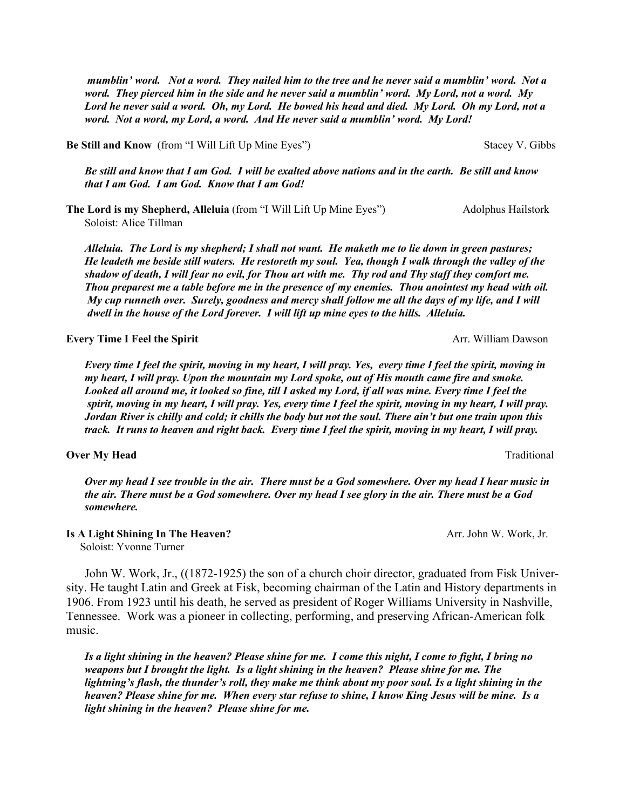*mumblin' word. Not a word. They nailed him to the tree and he never said a mumblin' word. Not a word. They pierced him in the side and he never said a mumblin' word. My Lord, not a word. My Lord he never said a word. Oh, my Lord. He bowed his head and died. My Lord. Oh my Lord, not a word. Not a word, my Lord, a word. And He never said a mumblin' word. My Lord!*

**Be Still and Know** (from "I Will Lift Up Mine Eyes") Stacey V. Gibbs

*Be still and know that I am God. I will be exalted above nations and in the earth. Be still and know that I am God. I am God. Know that I am God!*

**The Lord is my Shepherd, Alleluia** (from "I Will Lift Up Mine Eyes") Adolphus Hailstork Soloist: Alice Tillman

*Alleluia. The Lord is my shepherd; I shall not want. He maketh me to lie down in green pastures; He leadeth me beside still waters. He restoreth my soul. Yea, though I walk through the valley of the shadow of death, I will fear no evil, for Thou art with me. Thy rod and Thy staff they comfort me. Thou preparest me a table before me in the presence of my enemies. Thou anointest my head with oil. My cup runneth over. Surely, goodness and mercy shall follow me all the days of my life, and I will dwell in the house of the Lord forever. I will lift up mine eyes to the hills. Alleluia.*

**Every Time I Feel the Spirit Arr. William Dawson Arr. William Dawson** 

*Every time I feel the spirit, moving in my heart, I will pray. Yes, every time I feel the spirit, moving in my heart, I will pray. Upon the mountain my Lord spoke, out of His mouth came fire and smoke. Looked all around me, it looked so fine, till I asked my Lord, if all was mine. Every time I feel the spirit, moving in my heart, I will pray. Yes, every time I feel the spirit, moving in my heart, I will pray. Jordan River is chilly and cold; it chills the body but not the soul. There ain't but one train upon this track. It runs to heaven and right back. Every time I feel the spirit, moving in my heart, I will pray.*

**Over My Head** Traditional **Traditional** 

*Over my head I see trouble in the air. There must be a God somewhere. Over my head I hear music in the air. There must be a God somewhere. Over my head I see glory in the air. There must be a God somewhere.*

### **Is A Light Shining In The Heaven?** Arr. John W. Work, Jr.

Soloist: Yvonne Turner

John W. Work, Jr., ((1872-1925) the son of a church choir director, graduated from Fisk University. He taught Latin and Greek at Fisk, becoming chairman of the Latin and History departments in 1906. From 1923 until his death, he served as president of Roger Williams University in Nashville, Tennessee. Work was a pioneer in collecting, performing, and preserving African-American folk music.

*Is a light shining in the heaven? Please shine for me. I come this night, I come to fight, I bring no weapons but I brought the light. Is a light shining in the heaven? Please shine for me. The lightning's flash, the thunder's roll, they make me think about my poor soul. Is a light shining in the heaven? Please shine for me. When every star refuse to shine, I know King Jesus will be mine. Is a light shining in the heaven? Please shine for me.*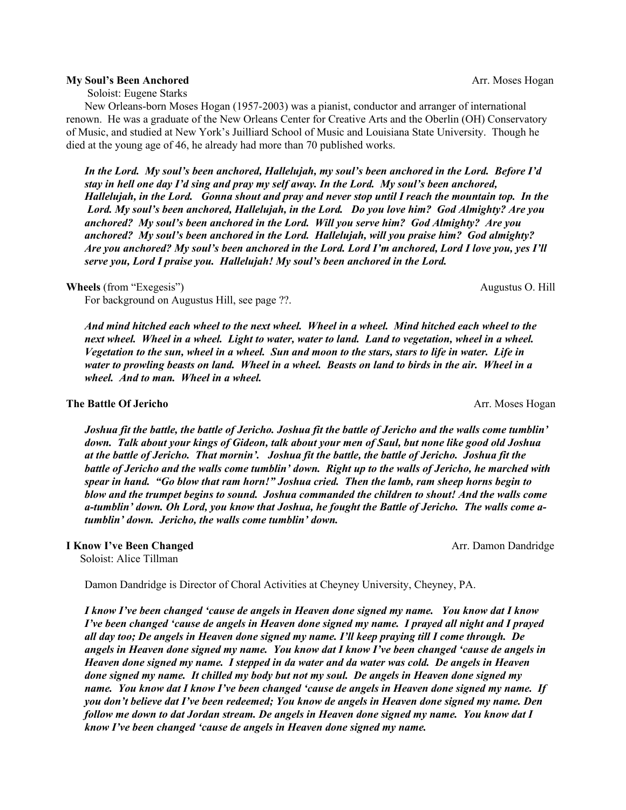**My Soul's Been Anchored Arr.** Moses Hogan

Soloist: Eugene Starks

New Orleans-born Moses Hogan (1957-2003) was a pianist, conductor and arranger of international renown. He was a graduate of the New Orleans Center for Creative Arts and the Oberlin (OH) Conservatory of Music, and studied at New York's Juilliard School of Music and Louisiana State University. Though he died at the young age of 46, he already had more than 70 published works.

*In the Lord. My soul's been anchored, Hallelujah, my soul's been anchored in the Lord. Before I'd stay in hell one day I'd sing and pray my self away. In the Lord. My soul's been anchored, Hallelujah, in the Lord. Gonna shout and pray and never stop until I reach the mountain top. In the Lord. My soul's been anchored, Hallelujah, in the Lord. Do you love him? God Almighty? Are you anchored? My soul's been anchored in the Lord. Will you serve him? God Almighty? Are you anchored? My soul's been anchored in the Lord. Hallelujah, will you praise him? God almighty? Are you anchored? My soul's been anchored in the Lord. Lord I'm anchored, Lord I love you, yes I'll serve you, Lord I praise you. Hallelujah! My soul's been anchored in the Lord.*

# **Wheels** (from "Exegesis") **Augustus O. Hill**

For background on Augustus Hill, see page ??.

*And mind hitched each wheel to the next wheel. Wheel in a wheel. Mind hitched each wheel to the next wheel. Wheel in a wheel. Light to water, water to land. Land to vegetation, wheel in a wheel. Vegetation to the sun, wheel in a wheel. Sun and moon to the stars, stars to life in water. Life in water to prowling beasts on land. Wheel in a wheel. Beasts on land to birds in the air. Wheel in a wheel. And to man. Wheel in a wheel.*

# **The Battle Of Jericho** Arr. Moses Hogan

*Joshua fit the battle, the battle of Jericho. Joshua fit the battle of Jericho and the walls come tumblin' down. Talk about your kings of Gideon, talk about your men of Saul, but none like good old Joshua at the battle of Jericho. That mornin'. Joshua fit the battle, the battle of Jericho. Joshua fit the battle of Jericho and the walls come tumblin' down. Right up to the walls of Jericho, he marched with spear in hand. "Go blow that ram horn!" Joshua cried. Then the lamb, ram sheep horns begin to blow and the trumpet begins to sound. Joshua commanded the children to shout! And the walls come a-tumblin' down. Oh Lord, you know that Joshua, he fought the Battle of Jericho. The walls come atumblin' down. Jericho, the walls come tumblin' down.*

### **I Know I've Been Changed Arr.** Damon Dandridge **Arr.** Damon Dandridge Soloist: Alice Tillman

Damon Dandridge is Director of Choral Activities at Cheyney University, Cheyney, PA.

*I know I've been changed 'cause de angels in Heaven done signed my name. You know dat I know I've been changed 'cause de angels in Heaven done signed my name. I prayed all night and I prayed all day too; De angels in Heaven done signed my name. I'll keep praying till I come through. De angels in Heaven done signed my name. You know dat I know I've been changed 'cause de angels in Heaven done signed my name. I stepped in da water and da water was cold. De angels in Heaven done signed my name. It chilled my body but not my soul. De angels in Heaven done signed my name. You know dat I know I've been changed 'cause de angels in Heaven done signed my name. If you don't believe dat I've been redeemed; You know de angels in Heaven done signed my name. Den follow me down to dat Jordan stream. De angels in Heaven done signed my name. You know dat I know I've been changed 'cause de angels in Heaven done signed my name.*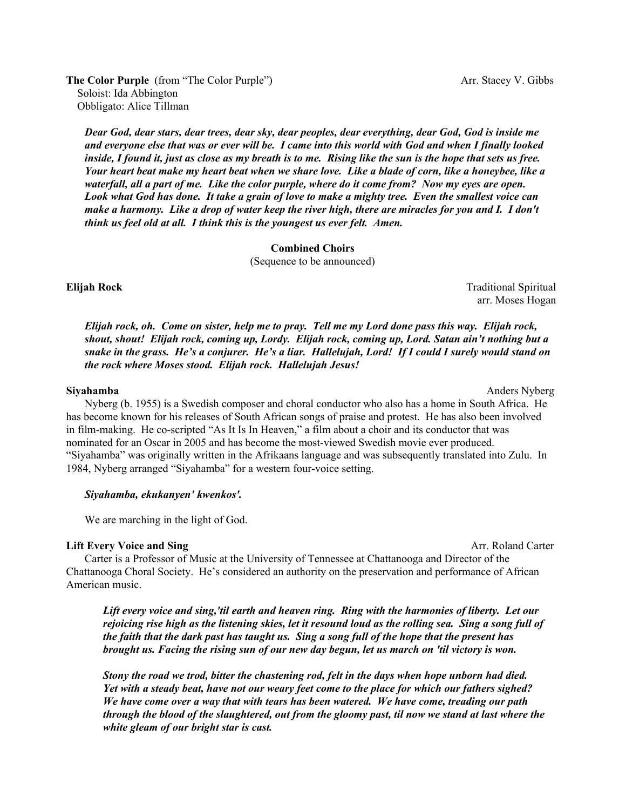**The Color Purple** (from "The Color Purple") Arr. Stacey V. Gibbs Soloist: Ida Abbington Obbligato: Alice Tillman

*Dear God, dear stars, dear trees, dear sky, dear peoples, dear everything, dear God, God is inside me and everyone else that was or ever will be. I came into this world with God and when I finally looked inside, I found it, just as close as my breath is to me. Rising like the sun is the hope that sets us free. Your heart beat make my heart beat when we share love. Like a blade of corn, like a honeybee, like a waterfall, all a part of me. Like the color purple, where do it come from? Now my eyes are open. Look what God has done. It take a grain of love to make a mighty tree. Even the smallest voice can make a harmony. Like a drop of water keep the river high, there are miracles for you and I. I don't think us feel old at all. I think this is the youngest us ever felt. Amen.*

### **Combined Choirs**

(Sequence to be announced)

**Elijah Rock** Traditional Spiritual arr. Moses Hogan

*Elijah rock, oh. Come on sister, help me to pray. Tell me my Lord done pass this way. Elijah rock, shout, shout! Elijah rock, coming up, Lordy. Elijah rock, coming up, Lord. Satan ain't nothing but a snake in the grass. He's a conjurer. He's a liar. Hallelujah, Lord! If I could I surely would stand on the rock where Moses stood. Elijah rock. Hallelujah Jesus!*

**Siyahamba** Anders Nyberg

Nyberg (b. 1955) is a Swedish composer and choral conductor who also has a home in South Africa. He has become known for his releases of South African songs of praise and protest. He has also been involved in film-making. He co-scripted "As It Is In Heaven," a film about a choir and its conductor that was nominated for an Oscar in 2005 and has become the most-viewed Swedish movie ever produced. "Siyahamba" was originally written in the Afrikaans language and was subsequently translated into Zulu. In 1984, Nyberg arranged "Siyahamba" for a western four-voice setting.

### *Siyahamba, ekukanyen' kwenkos'.*

We are marching in the light of God.

## **Lift Every Voice and Sing The Struck Control of the Struck Control of Arr. Roland Carter**

Carter is a Professor of Music at the University of Tennessee at Chattanooga and Director of the Chattanooga Choral Society. He's considered an authority on the preservation and performance of African American music.

*Lift every voice and sing,'til earth and heaven ring. Ring with the harmonies of liberty. Let our rejoicing rise high as the listening skies, let it resound loud as the rolling sea. Sing a song full of the faith that the dark past has taught us. Sing a song full of the hope that the present has brought us. Facing the rising sun of our new day begun, let us march on 'til victory is won.*

*Stony the road we trod, bitter the chastening rod, felt in the days when hope unborn had died. Yet with a steady beat, have not our weary feet come to the place for which our fathers sighed? We have come over a way that with tears has been watered. We have come, treading our path through the blood of the slaughtered, out from the gloomy past, til now we stand at last where the white gleam of our bright star is cast.*